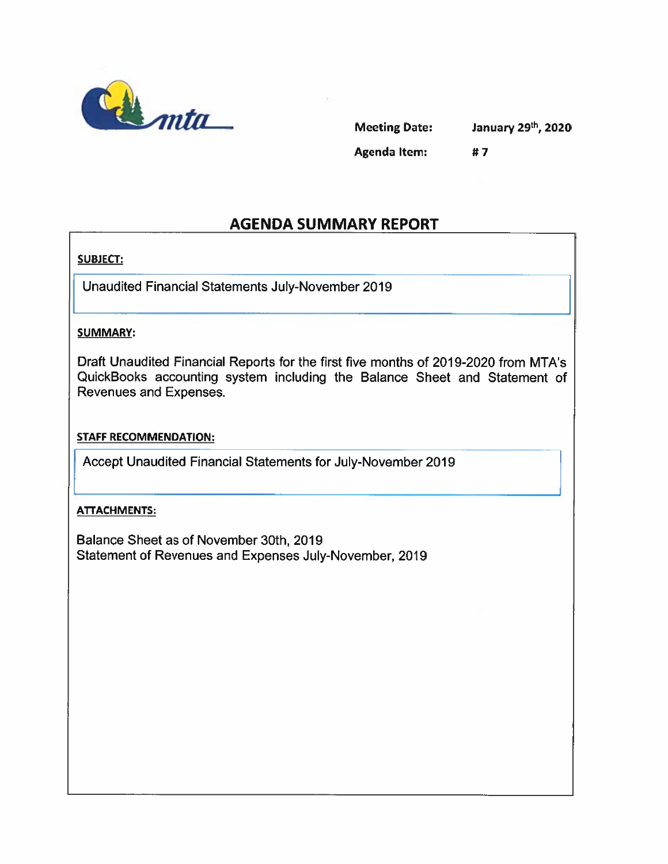

Meeting Date: January 29<sup>th</sup>, 2020 Agenda Item: #7

### AGENDA SUMMARY REPORT

#### SUBJECT:

Unaudited Financial Statements July-November 2019

#### SUMMARY:

Draft Unaudited Financial Reports for the first five months of 2019-2020 from MTA's QuickBooks accounting system including the Balance Sheet and Statement of Revenues and Expenses.

#### STAFF RECOMMENDATION:

Accept Unaudited Financial Statements for July-November 2019

#### ATTACHMENTS:

Balance Sheet as of November 30th, 2019 Statement of Revenues and Expenses July-November, 2019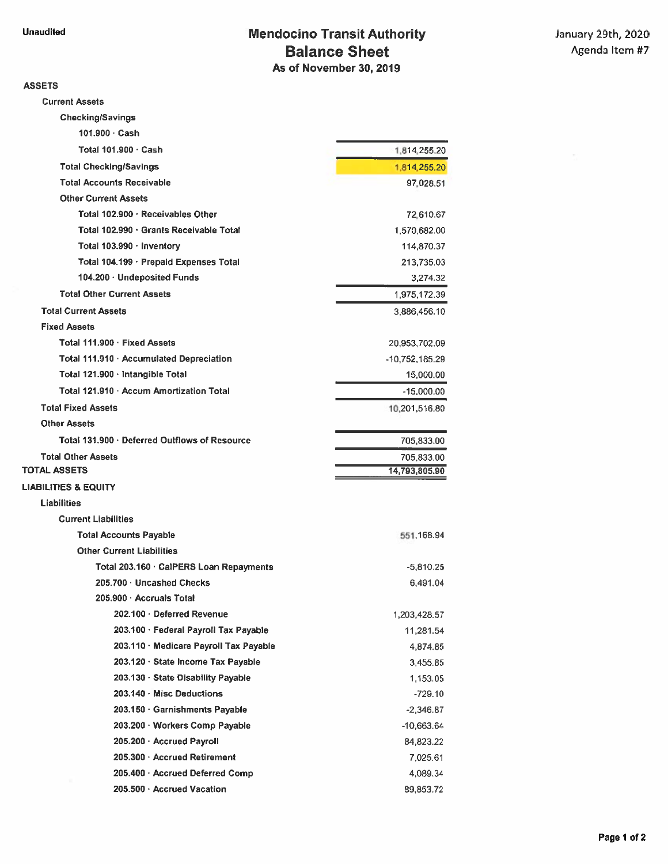#### ASSETS

Current Assets

| <b>Checking/Savings</b>                       |                  |
|-----------------------------------------------|------------------|
| 101.900 Cash                                  |                  |
| Total 101.900 · Cash                          | 1,814,255.20     |
| <b>Total Checking/Savings</b>                 | 1,814,255.20     |
| <b>Total Accounts Receivable</b>              | 97,028.51        |
| <b>Other Current Assets</b>                   |                  |
| Total 102.900 · Receivables Other             | 72,610.67        |
| Total 102.990 · Grants Receivable Total       | 1,570,682.00     |
| Total 103.990 · Inventory                     | 114,870.37       |
| Total 104.199 · Prepaid Expenses Total        | 213,735.03       |
| 104.200 · Undeposited Funds                   | 3,274.32         |
| <b>Total Other Current Assets</b>             | 1,975,172.39     |
| <b>Total Current Assets</b>                   | 3,886,456.10     |
| <b>Fixed Assets</b>                           |                  |
| Total 111.900 · Fixed Assets                  | 20,953,702.09    |
| Total 111.910 · Accumulated Depreciation      | $-10,752,185.29$ |
| Total 121.900 · Intangible Total              | 15,000.00        |
| Total 121.910 · Accum Amortization Total      | $-15,000.00$     |
| <b>Total Fixed Assets</b>                     | 10,201,516.80    |
| <b>Other Assets</b>                           |                  |
| Total 131.900 · Deferred Outflows of Resource | 705,833.00       |
|                                               |                  |
| <b>Total Other Assets</b>                     | 705,833.00       |
| <b>TOTAL ASSETS</b>                           | 14,793,805.90    |
| <b>LIABILITIES &amp; EQUITY</b>               |                  |
| <b>Liabilities</b>                            |                  |
| <b>Current Liabilities</b>                    |                  |
| <b>Total Accounts Payable</b>                 | 551,168.94       |
| <b>Other Current Liabilities</b>              |                  |
| Total 203.160 · CalPERS Loan Repayments       | $-5,810.25$      |
| 205.700 · Uncashed Checks                     | 6,491.04         |
| 205.900 · Accruals Total                      |                  |
| 202.100 Deferred Revenue                      | 1,203,428.57     |
| 203.100 · Federal Payroll Tax Payable         | 11,281.54        |
| 203.110 · Medicare Payroll Tax Payable        | 4,874.85         |
| 203.120 · State Income Tax Payable            | 3,455.85         |
| 203.130 · State Disability Payable            | 1,153.05         |
| 203.140 Misc Deductions                       | $-729.10$        |
| 203.150 Garnishments Payable                  | $-2,346.87$      |
| 203.200 Workers Comp Payable                  | $-10,663.64$     |
| 205.200 Accrued Payroll                       | 84,823.22        |
| 205.300 Accrued Retirement                    | 7,025.61         |
| 205.400 Accrued Deferred Comp                 | 4,089.34         |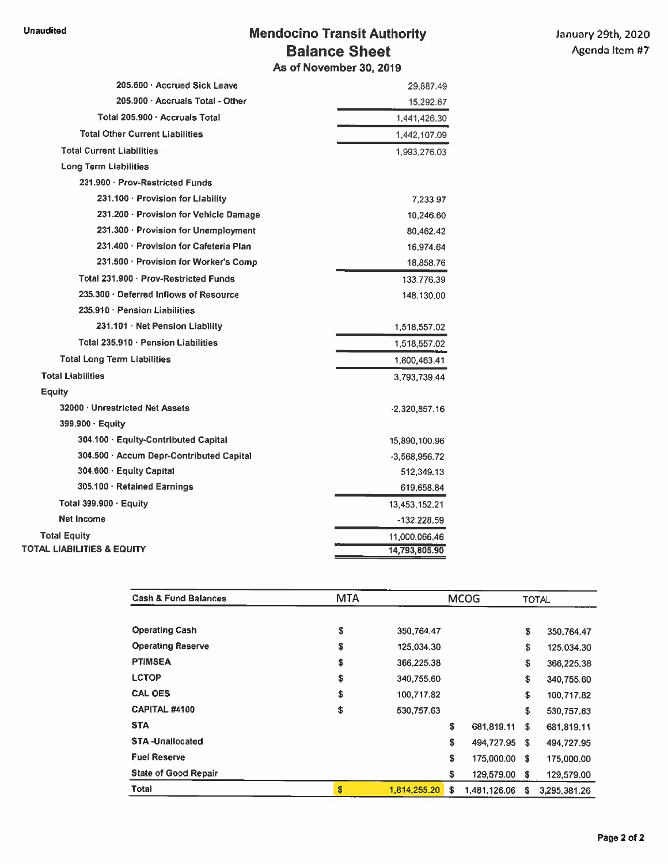#### Unaudited **Mendocino Transit Authority** January 29th, 2020 Balance Sheet Agenda Item #7 As of November 30, 2019

| 205,600 · Accrued Sick Leave             | 29,887.49       |
|------------------------------------------|-----------------|
| 205.900 · Accruals Total - Other         | 15,292.67       |
| Total 205.900 · Accruals Total           | 1,441,426.30    |
| <b>Total Other Current Liabilities</b>   | 1,442,107.09    |
| <b>Total Current Liabilities</b>         | 1,993,276.03    |
| <b>Long Term Liabilities</b>             |                 |
| 231.900 · Prov-Restricted Funds          |                 |
| 231.100 · Provision for Liability        | 7,233.97        |
| 231.200 · Provision for Vehicle Damage   | 10,246.60       |
| 231.300 · Provision for Unemployment     | 80,462.42       |
| 231.400 · Provision for Cafeteria Plan   | 16,974.64       |
| 231.500 · Provision for Worker's Comp    | 18,858.76       |
| Total 231.900 · Prov-Restricted Funds    | 133,776.39      |
| 235.300 · Deferred Inflows of Resource   | 148,130.00      |
| 235.910 · Pension Liabilities            |                 |
| 231.101 · Net Pension Liability          | 1,518,557.02    |
| Total 235.910 · Pension Liabilities      | 1,518,557.02    |
| <b>Total Long Term Liabilities</b>       | 1,800,463.41    |
| <b>Total Liabilities</b>                 | 3,793,739.44    |
| Equity                                   |                 |
| 32000 · Unrestricted Net Assets          | $-2,320,857.16$ |
| $399.900 \cdot$ Equity                   |                 |
| 304.100 · Equity-Contributed Capital     | 15,890,100.96   |
| 304.500 · Accum Depr-Contributed Capital | -3,568,956.72   |
| 304.600 · Equity Capital                 | 512,349.13      |
| 305.100 · Retained Earnings              | 619,658.84      |
| Total 399.900 · Equity                   | 13,453,152.21   |
| <b>Net Income</b>                        | $-132,228.59$   |
| <b>Total Equity</b>                      | 11,000,066.46   |
| <b>TOTAL LIABILITIES &amp; EQUITY</b>    | 14,793,805.90   |

| <b>Cash &amp; Fund Balances</b> | <b>MTA</b> | <b>MCOG</b>  |               |              | <b>TOTAL</b> |              |
|---------------------------------|------------|--------------|---------------|--------------|--------------|--------------|
|                                 |            |              |               |              |              |              |
| <b>Operating Cash</b>           | \$         | 350,764.47   |               |              | \$           | 350,764.47   |
| <b>Operating Reserve</b>        | \$         | 125.034.30   |               |              | \$           | 125,034.30   |
| <b>PTIMSEA</b>                  | \$         | 366,225.38   |               |              | \$           | 366,225.38   |
| <b>LCTOP</b>                    | \$         | 340,755.60   |               |              | \$           | 340,755.60   |
| <b>CAL OES</b>                  | \$         | 100,717.82   |               |              | \$           | 100.717.82   |
| <b>CAPITAL #4100</b>            | \$         | 530,757.63   |               |              | \$           | 530,757.63   |
| <b>STA</b>                      |            |              | \$            | 681,819.11   | Ŝ.           | 681,819.11   |
| <b>STA-Unallocated</b>          |            |              | \$            | 494,727.95   | -S           | 494,727.95   |
| <b>Fuel Reserve</b>             |            |              | \$            | 175,000.00   | \$           | 175,000.00   |
| <b>State of Good Repair</b>     |            |              | \$            | 129,579.00   | \$           | 129,579.00   |
| <b>Total</b>                    | \$         | 1,814,255,20 | <sup>\$</sup> | 1,481,126.06 | S            | 3.295.381.26 |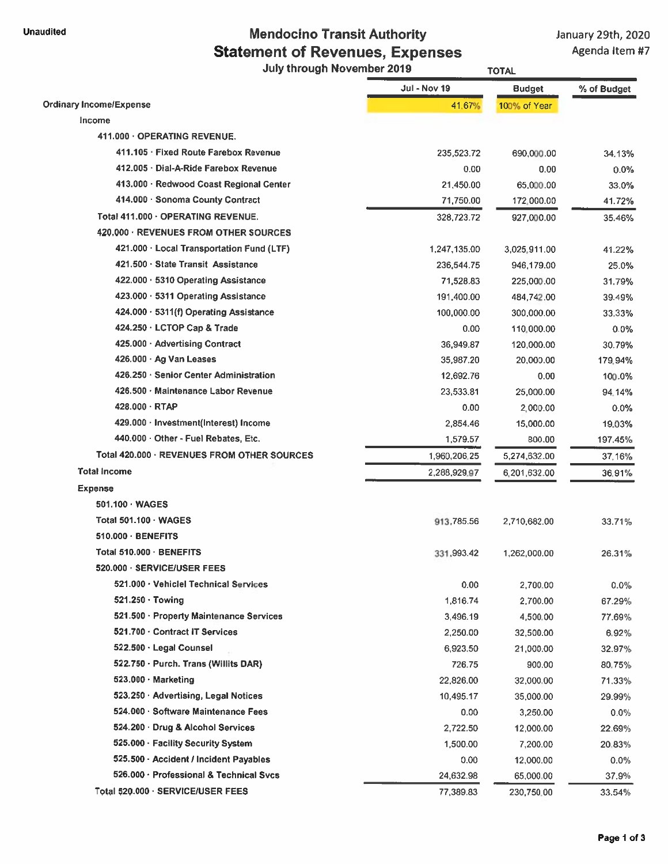## Unaudited Unaudited Mendocino Transit Authority January 29th, 2020 Statement of Revenues, Expenses Agenda Item #7

July through November 2019 TOTAL

|                                             | <b>Jul - Nov 19</b> | <b>Budget</b> | % of Budget |
|---------------------------------------------|---------------------|---------------|-------------|
| <b>Ordinary Income/Expense</b>              | 41.67%              | 100% of Year  |             |
| Income                                      |                     |               |             |
| 411.000 · OPERATING REVENUE.                |                     |               |             |
| 411.105 · Fixed Route Farebox Revenue       | 235,523.72          | 690,000.00    | 34.13%      |
| 412.005 Dial-A-Ride Farebox Revenue         | 0.00                | 0.00          | 0.0%        |
| 413.000 · Redwood Coast Regional Center     | 21.450.00           | 65,000.00     | 33.0%       |
| 414.000 Sonoma County Contract              | 71,750.00           | 172,000.00    | 41.72%      |
| Total 411.000 · OPERATING REVENUE.          | 328,723.72          | 927,000.00    | 35.46%      |
| 420.000 · REVENUES FROM OTHER SOURCES       |                     |               |             |
| 421.000 Local Transportation Fund (LTF)     | 1,247,135.00        | 3,025,911.00  | 41.22%      |
| 421.500 State Transit Assistance            | 236,544.75          | 946,179.00    | 25.0%       |
| 422.000 · 5310 Operating Assistance         | 71,528.83           | 225,000.00    | 31.79%      |
| 423.000 · 5311 Operating Assistance         | 191,400.00          | 484,742.00    | 39.49%      |
| 424.000 · 5311(f) Operating Assistance      | 100,000.00          | 300,000.00    | 33.33%      |
| 424.250 LCTOP Cap & Trade                   | 0.00                | 110,000.00    | $0.0\%$     |
| 425.000 Advertising Contract                | 36,949.87           | 120,000.00    | 30.79%      |
| 426.000 Ag Van Leases                       | 35,987.20           | 20,000.00     | 179.94%     |
| 426.250 Senior Center Administration        | 12,692.76           | 0.00          | 100.0%      |
| 426.500 · Maintenance Labor Revenue         | 23,533.81           | 25,000.00     | 94.14%      |
| 428.000 RTAP                                | 0.00                | 2,000.00      | 0.0%        |
| 429.000 · Investment(Interest) Income       | 2,854.46            | 15,000.00     | 19.03%      |
| 440.000 · Other - Fuel Rebates, Etc.        | 1,579.57            | 800.00        | 197.45%     |
| Total 420.000 · REVENUES FROM OTHER SOURCES | 1,960,206.25        | 5,274,632.00  | 37.16%      |
| <b>Total Income</b>                         | 2,288,929.97        | 6,201,632.00  | 36.91%      |
| <b>Expense</b>                              |                     |               |             |
| 501.100 · WAGES                             |                     |               |             |
| Total 501.100 - WAGES                       | 913,785.56          | 2,710,682.00  | 33.71%      |
| $510.000 \cdot$ BENEFITS                    |                     |               |             |
| Total 510.000 · BENEFITS                    | 331,993.42          | 1,262,000.00  | 26.31%      |
| 520.000 · SERVICE/USER FEES                 |                     |               |             |
| 521.000 · Vehiclel Technical Services       | 0.00                | 2,700.00      | $0.0\%$     |
| 521.250 Towing                              | 1,816.74            | 2,700.00      | 67.29%      |
| 521.500 · Property Maintenance Services     | 3,496.19            | 4,500.00      | 77.69%      |
| 521.700 · Contract IT Services              | 2,250.00            | 32,500.00     | 6.92%       |
| 522.500 · Legal Counsel                     | 6,923.50            | 21,000.00     | 32.97%      |
| 522.750 · Purch. Trans (Willits DAR)        | 726.75              | 900.00        | 80.75%      |
| $523.000 \cdot$ Marketing                   | 22,826.00           | 32,000.00     | 71.33%      |
| 523.250 Advertising, Legal Notices          | 10,495.17           | 35,000.00     | 29.99%      |
| 524.000 Software Maintenance Fees           | 0.00                | 3,250.00      | 0.0%        |
| 524.200 Drug & Alcohol Services             | 2,722.50            | 12,000.00     | 22.69%      |
| 525.000 · Facility Security System          | 1,500.00            | 7,200.00      | 20.83%      |
| 525.500 - Accident / Incident Payables      | 0.00                | 12,000.00     | $0.0\%$     |
| 526.000 · Professional & Technical Svcs     | 24,632.98           | 65,000.00     | 37.9%       |
| Total 520.000 · SERVICE/USER FEES           | 77,389.83           | 230,750.00    | 33.54%      |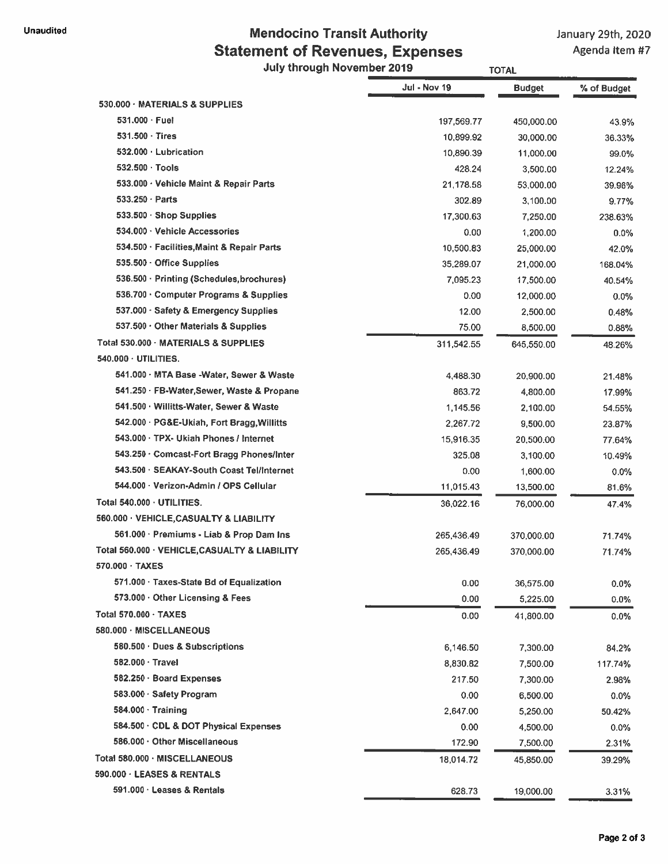## Unaudited Unaudited Mendocino Transit Authority January 29th, 2020 Statement of Revenues, Expenses Agenda item #7

# July through November 2019 TOTAL JuI-Novl9 Budget %of Budget

|                                               | งน • พบง เฮ | puuyet     | % or puager |
|-----------------------------------------------|-------------|------------|-------------|
| 530.000 · MATERIALS & SUPPLIES                |             |            |             |
| $531.000 \cdot$ Fuel                          | 197,569.77  | 450,000.00 | 43.9%       |
| 531.500 Tires                                 | 10,899.92   | 30,000.00  | 36.33%      |
| 532.000 · Lubrication                         | 10,890.39   | 11,000.00  | 99.0%       |
| 532.500 Tools                                 | 428.24      | 3,500.00   | 12.24%      |
| 533.000 · Vehicle Maint & Repair Parts        | 21,178.58   | 53,000.00  | 39.96%      |
| $533.250 \cdot$ Parts                         | 302.89      | 3,100.00   | 9.77%       |
| $533.500 \cdot$ Shop Supplies                 | 17,300.63   | 7,250.00   | 238.63%     |
| 534.000 · Vehicle Accessories                 | 0.00        | 1,200.00   | 0.0%        |
| 534.500 · Facilities, Maint & Repair Parts    | 10,500.83   | 25,000.00  | 42.0%       |
| 535.500 Office Supplies                       | 35,289.07   | 21,000.00  | 168.04%     |
| 536.500 · Printing (Schedules, brochures)     | 7,095.23    | 17,500.00  | 40.54%      |
| 536.700 Computer Programs & Supplies          | 0.00        | 12,000.00  | $0.0\%$     |
| 537.000 · Safety & Emergency Supplies         | 12.00       | 2,500.00   | 0.48%       |
| 537.500 · Other Materials & Supplies          | 75.00       | 8,500.00   | 0.88%       |
| Total 530.000 MATERIALS & SUPPLIES            | 311,542.55  | 645,550.00 | 48.26%      |
| 540.000 · UTILITIES.                          |             |            |             |
| 541.000 · MTA Base -Water, Sewer & Waste      | 4,488.30    | 20,900.00  | 21.48%      |
| 541.250 · FB-Water Sewer, Waste & Propane     | 863.72      | 4,800.00   | 17.99%      |
| 541.500 · Willitts-Water, Sewer & Waste       | 1,145.56    | 2,100.00   | 54.55%      |
| 542.000 · PG&E-Ukiah, Fort Bragg, Willitts    | 2,267.72    | 9,500.00   | 23.87%      |
| 543.000 · TPX- Ukiah Phones / Internet        | 15,916.35   | 20,500.00  | 77.64%      |
| 543.250 · Comcast-Fort Bragg Phones/Inter     | 325.08      | 3,100.00   | 10.49%      |
| 543.500 · SEAKAY-South Coast Tel/Internet     | 0.00        | 1,600.00   | 0.0%        |
| 544.000 · Verizon-Admin / OPS Cellular        | 11,015.43   | 13,500.00  | 81.6%       |
| Total 540,000 UTILITIES.                      | 36,022.16   | 76,000.00  | 47.4%       |
| 560.000 · VEHICLE, CASUALTY & LIABILITY       |             |            |             |
| 561.000 · Premiums - Liab & Prop Dam Ins      | 265,436.49  | 370,000.00 | 71,74%      |
| Total 560.000 · VEHICLE, CASUALTY & LIABILITY | 265,436.49  | 370,000.00 | 71.74%      |
| $570.000 \cdot TAXES$                         |             |            |             |
| 571.000 · Taxes-State Bd of Equalization      | 0.00        | 36,575.00  | $0.0\%$     |
| $573.000 \cdot$ Other Licensing & Fees        | 0.00        | 5,225.00   | $0.0\%$     |
| Total 570.000 · TAXES                         | 0.00        | 41,800.00  | 0.0%        |
| 580.000 · MISCELLANEOUS                       |             |            |             |
| 580.500 · Dues & Subscriptions                | 6,146.50    | 7,300.00   | 84.2%       |
| 582.000 · Travel                              | 8,830.82    | 7,500.00   | 117.74%     |
| 582.250 · Board Expenses                      | 217.50      | 7,300.00   | 2.98%       |
| 583.000 · Safety Program                      | 0.00        | 6,500.00   | 0.0%        |
| $584.000 \cdot$ Training                      | 2,647.00    | 5,250.00   | 50.42%      |
| 584.500 · CDL & DOT Physical Expenses         | 0.00        | 4,500.00   | $0.0\%$     |
| 586.000 · Other Miscellaneous                 | 172.90      | 7,500.00   | 2.31%       |
| Total 580.000 · MISCELLANEOUS                 | 18,014.72   | 45,850.00  | 39.29%      |
| 590.000 · LEASES & RENTALS                    |             |            |             |
| 591.000 · Leases & Rentals                    | 628.73      | 19,000.00  | 3.31%       |